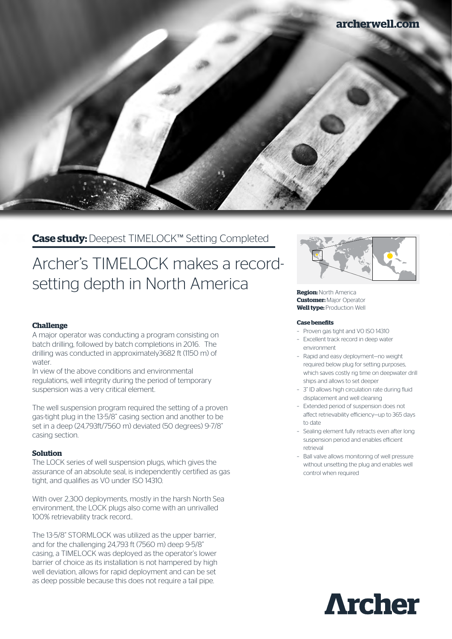

# **Case study:** Deepest TIMELOCK™ Setting Completed

# Archer's TIMELOCK makes a recordsetting depth in North America

# **Challenge**

A major operator was conducting a program consisting on batch drilling, followed by batch completions in 2016. The drilling was conducted in approximately3682 ft (1150 m) of water.

In view of the above conditions and environmental regulations, well integrity during the period of temporary suspension was a very critical element.

The well suspension program required the setting of a proven gas-tight plug in the 13-5/8" casing section and another to be set in a deep (24,793ft/7560 m) deviated (50 degrees) 9-7/8" casing section.

# **Solution**

The LOCK series of well suspension plugs, which gives the assurance of an absolute seal, is independently certified as gas tight, and qualifies as V0 under ISO 14310.

With over 2,300 deployments, mostly in the harsh North Sea environment, the LOCK plugs also come with an unrivalled 100% retrievability track record..

The 13-5/8" STORMLOCK was utilized as the upper barrier, and for the challenging 24,793 ft (7560 m) deep 9-5/8" casing, a TIMELOCK was deployed as the operator's lower barrier of choice as its installation is not hampered by high well deviation, allows for rapid deployment and can be set as deep possible because this does not require a tail pipe.



**Region:** North America **Customer:** Major Operator **Well type: Production Well** 

#### **Case benefits**

- Proven gas tight and V0 ISO 14310
- Excellent track record in deep water environment
- Rapid and easy deployment—no weight required below plug for setting purposes, which saves costly rig time on deepwater drill ships and allows to set deeper
- 3" ID allows high circulation rate during fluid displacement and well cleaning
- Extended period of suspension does not affect retrievability efficiency—up to 365 days to date
- Sealing element fully retracts even after long suspension period and enables efficient retrieval
- Ball valve allows monitoring of well pressure without unsetting the plug and enables well control when required